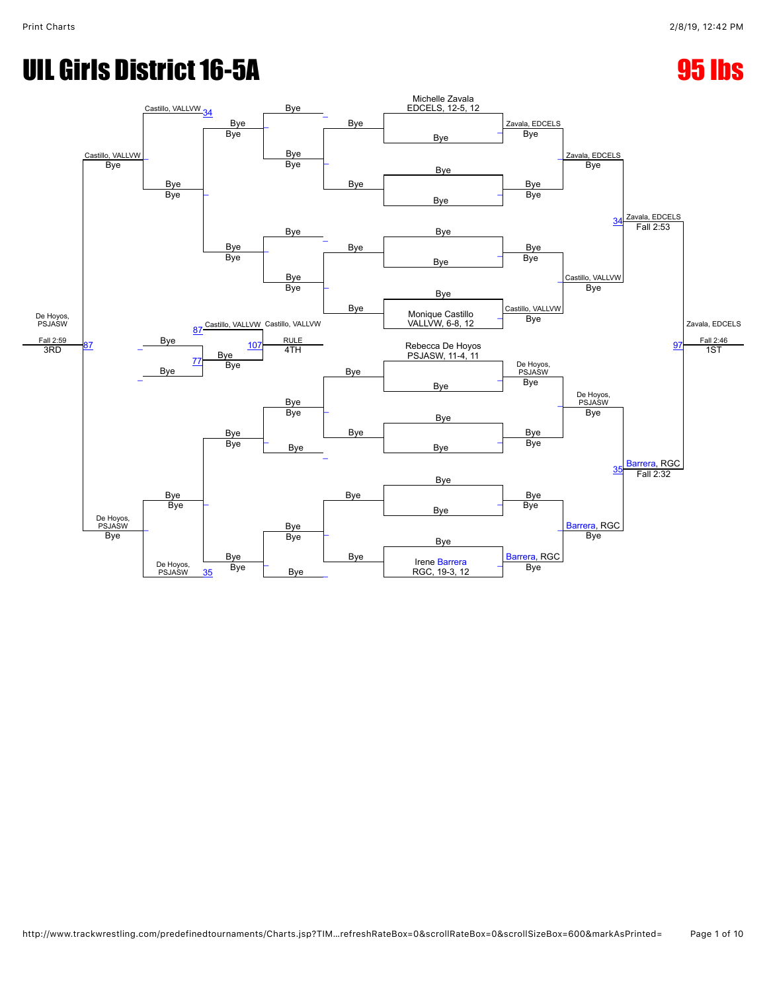# UIL Girls District 16-5A 95 lbs

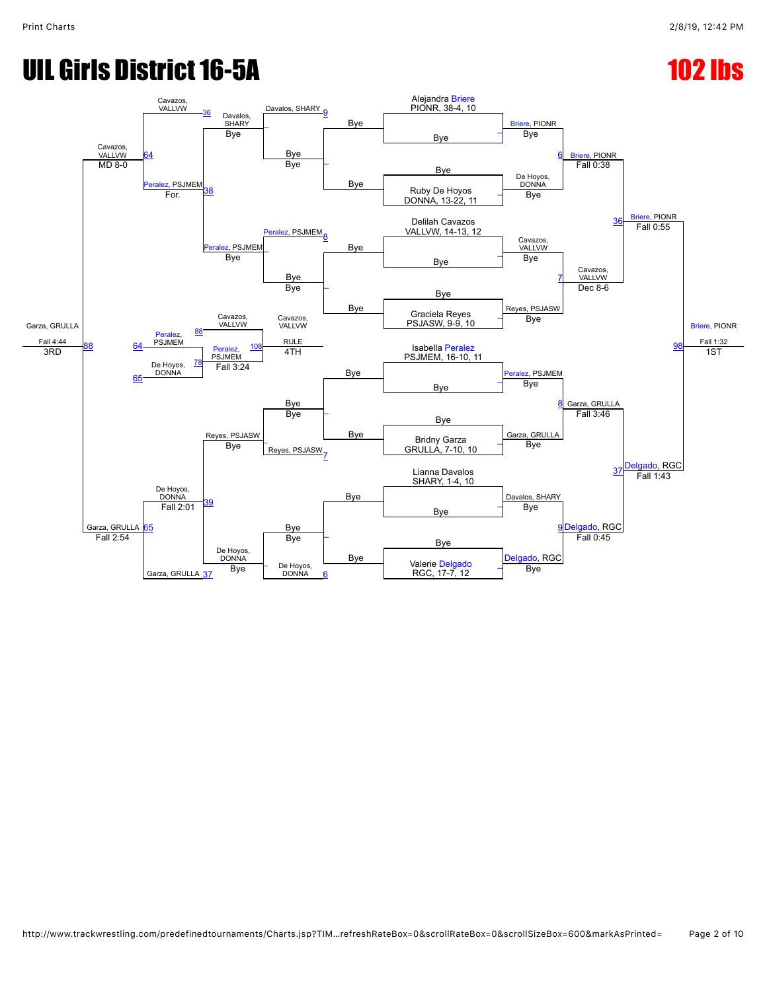# UIL Girls District 16-5A 102 lbs

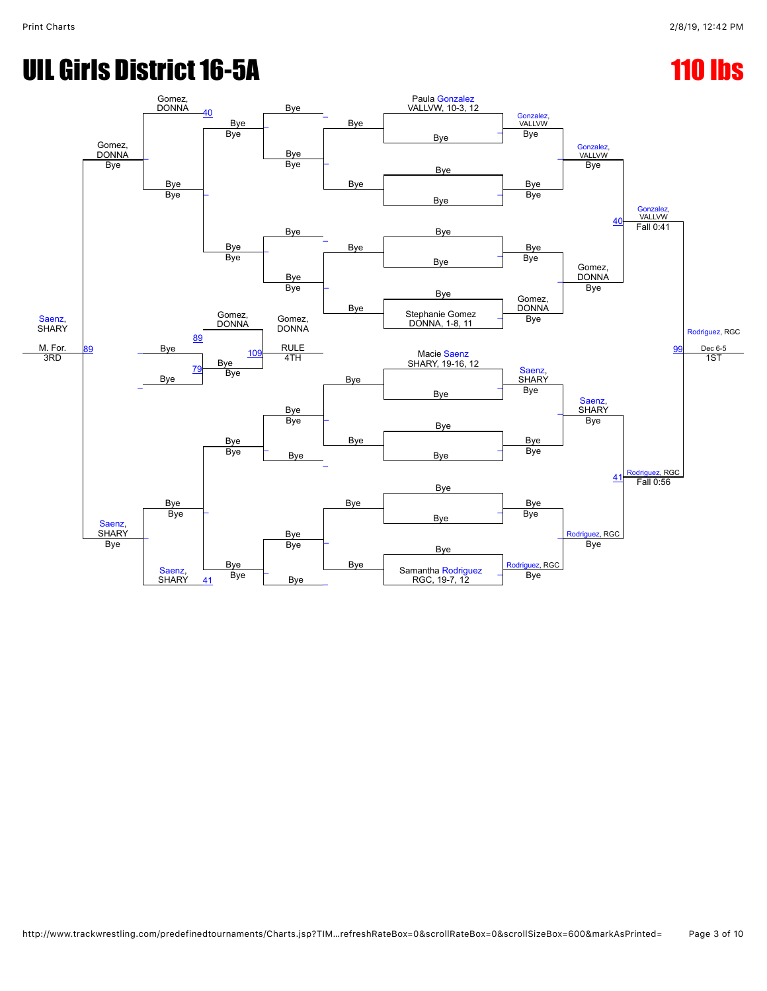# UIL Girls District 16-5A 110 lbs

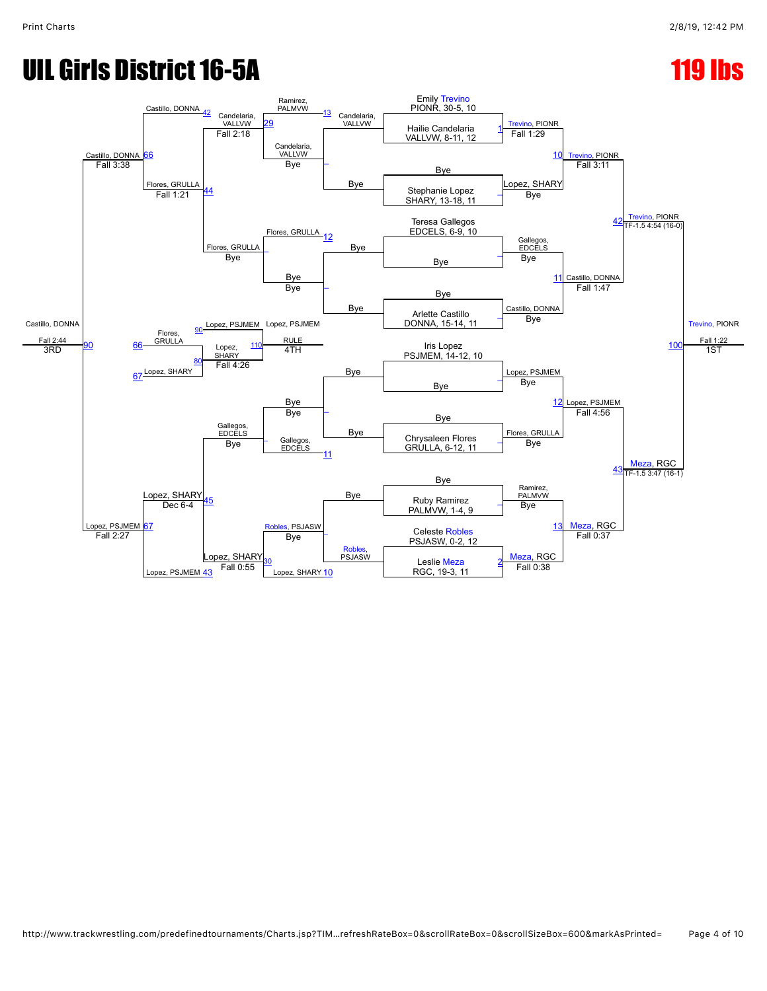### UIL Girls District 16-5A 119 lbs

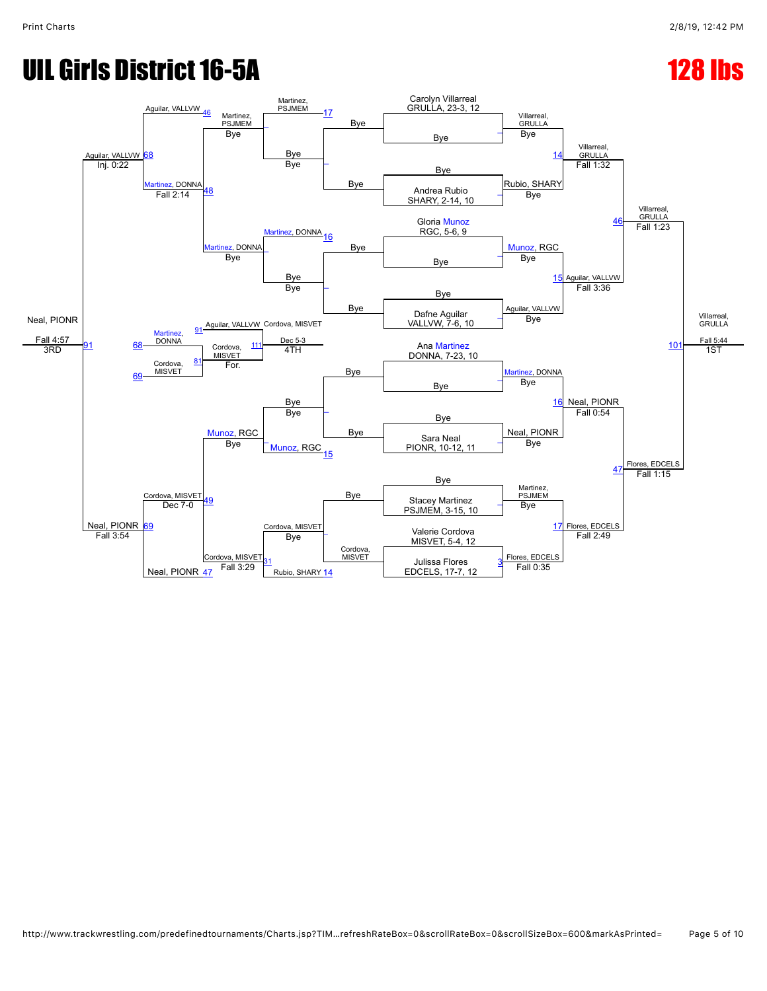## UIL Girls District 16-5A 128 lbs

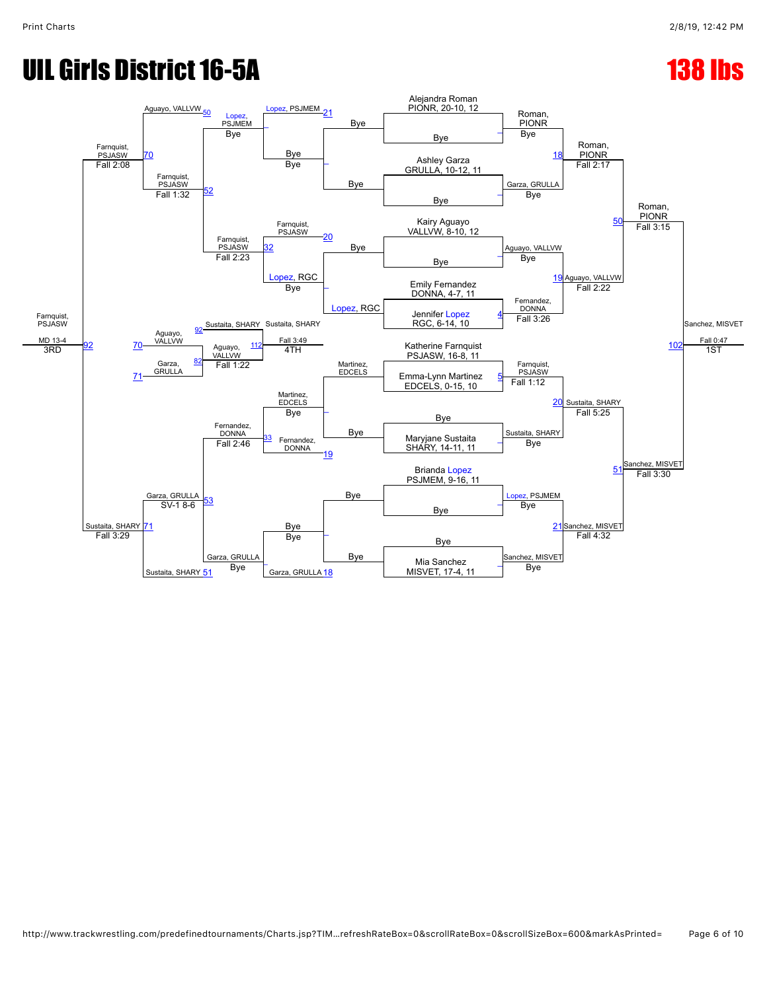### UIL Girls District 16-5A 138 lbs

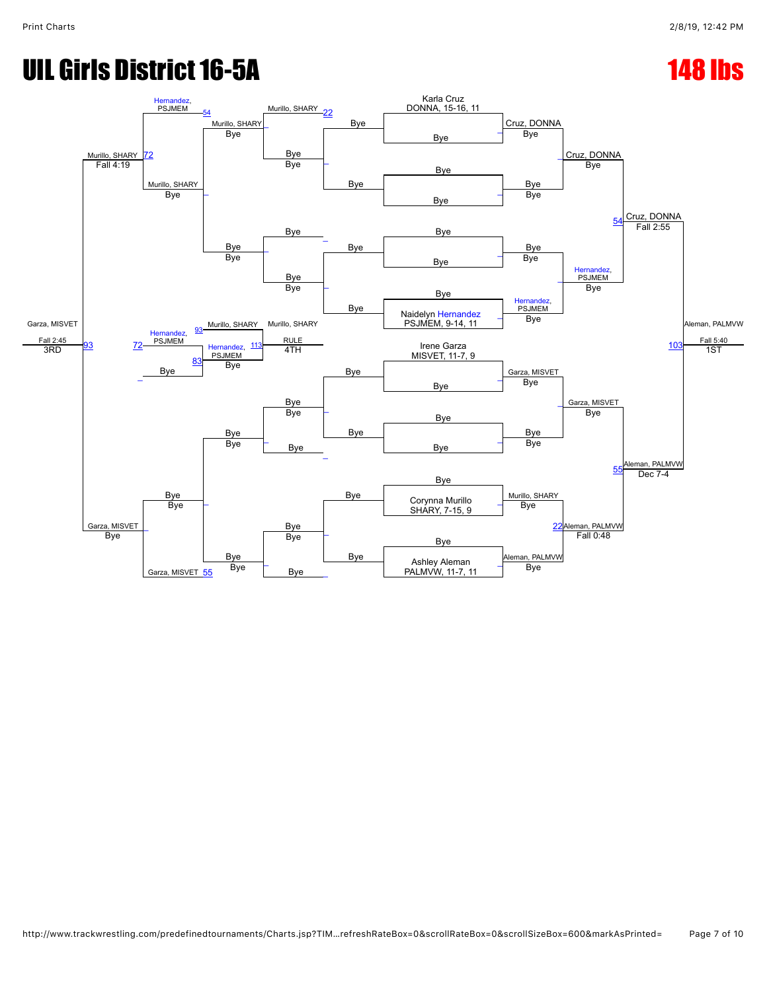# UIL Girls District 16-5A 148 lbs

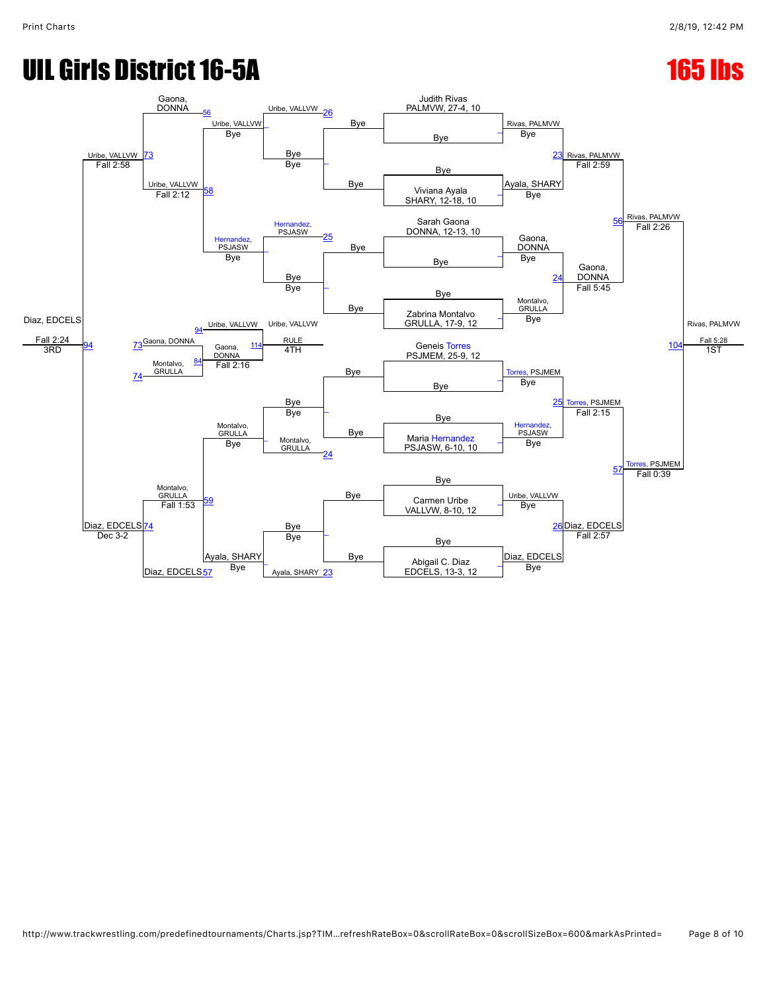# UIL Girls District 16-5A 165 lbs (165 lbs )

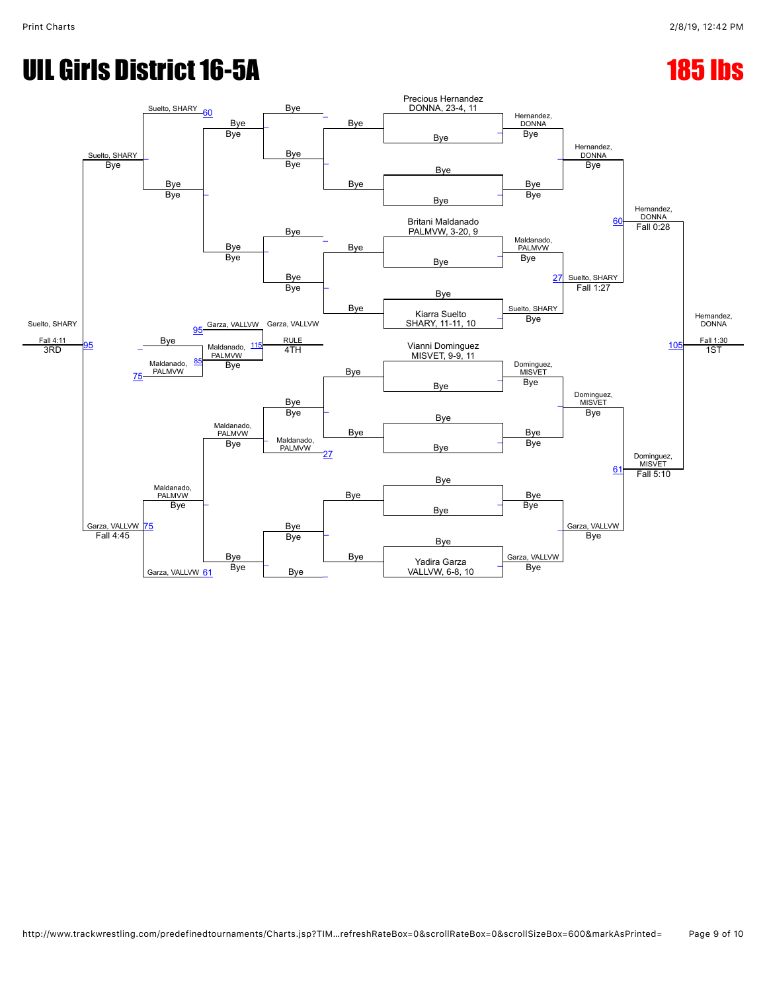# UIL Girls District 16-5A 185 and 200 and 200 and 200 and 200 and 200 and 200 and 200 and 200 and 200 and 200 a